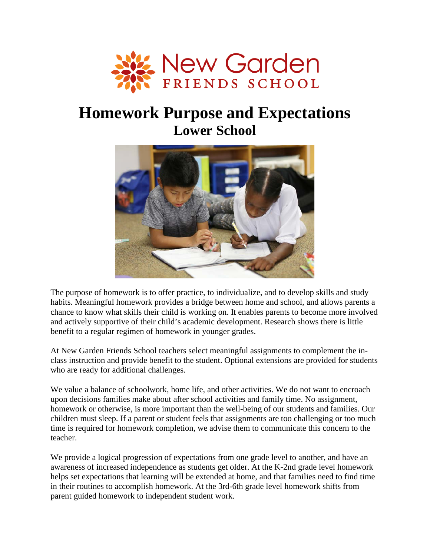

# **Homework Purpose and Expectations Lower School**



The purpose of homework is to offer practice, to individualize, and to develop skills and study habits. Meaningful homework provides a bridge between home and school, and allows parents a chance to know what skills their child is working on. It enables parents to become more involved and actively supportive of their child's academic development. Research shows there is little benefit to a regular regimen of homework in younger grades.

At New Garden Friends School teachers select meaningful assignments to complement the inclass instruction and provide benefit to the student. Optional extensions are provided for students who are ready for additional challenges.

We value a balance of schoolwork, home life, and other activities. We do not want to encroach upon decisions families make about after school activities and family time. No assignment, homework or otherwise, is more important than the well-being of our students and families. Our children must sleep. If a parent or student feels that assignments are too challenging or too much time is required for homework completion, we advise them to communicate this concern to the teacher.

We provide a logical progression of expectations from one grade level to another, and have an awareness of increased independence as students get older. At the K-2nd grade level homework helps set expectations that learning will be extended at home, and that families need to find time in their routines to accomplish homework. At the 3rd-6th grade level homework shifts from parent guided homework to independent student work.